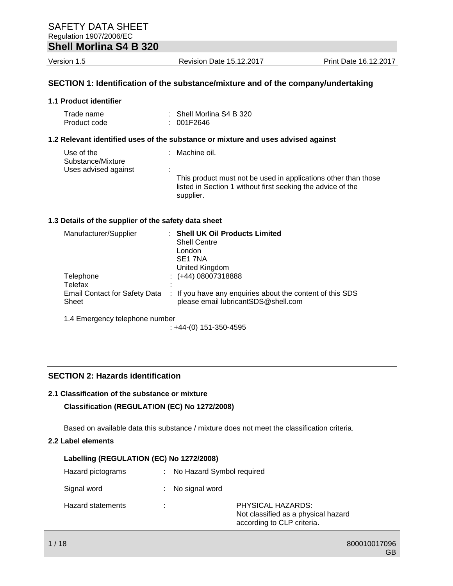| $\frac{1}{2}$ |  |  |  |
|---------------|--|--|--|

Version 1.5 Revision Date 15.12.2017 Print Date 16.12.2017

## **SECTION 1: Identification of the substance/mixture and of the company/undertaking**

#### **1.1 Product identifier**

| Trade name   | $\therefore$ Shell Morlina S4 B 320 |
|--------------|-------------------------------------|
| Product code | : 001F2646                          |

#### **1.2 Relevant identified uses of the substance or mixture and uses advised against**

| Use of the<br>Substance/Mixture |    | : Machine oil.                                                                                                                             |
|---------------------------------|----|--------------------------------------------------------------------------------------------------------------------------------------------|
| Uses advised against            | ٠. | This product must not be used in applications other than those<br>listed in Section 1 without first seeking the advice of the<br>supplier. |

#### **1.3 Details of the supplier of the safety data sheet**

| Manufacturer/Supplier                         | <b>Shell UK Oil Products Limited</b><br><b>Shell Centre</b><br>London<br>SE <sub>1</sub> 7NA<br>United Kingdom |
|-----------------------------------------------|----------------------------------------------------------------------------------------------------------------|
| Telephone                                     | $\div$ (+44) 08007318888                                                                                       |
| Telefax                                       |                                                                                                                |
| <b>Email Contact for Safety Data</b><br>Sheet | : If you have any enquiries about the content of this SDS<br>please email lubricantSDS@shell.com               |

1.4 Emergency telephone number

: +44-(0) 151-350-4595

#### **SECTION 2: Hazards identification**

#### **2.1 Classification of the substance or mixture**

#### **Classification (REGULATION (EC) No 1272/2008)**

Based on available data this substance / mixture does not meet the classification criteria.

#### **2.2 Label elements**

| Labelling (REGULATION (EC) No 1272/2008) |    |                                                                                        |  |  |
|------------------------------------------|----|----------------------------------------------------------------------------------------|--|--|
| Hazard pictograms                        |    | : No Hazard Symbol required                                                            |  |  |
| Signal word                              |    | : No signal word                                                                       |  |  |
| <b>Hazard statements</b>                 | ٠. | PHYSICAL HAZARDS:<br>Not classified as a physical hazard<br>according to CLP criteria. |  |  |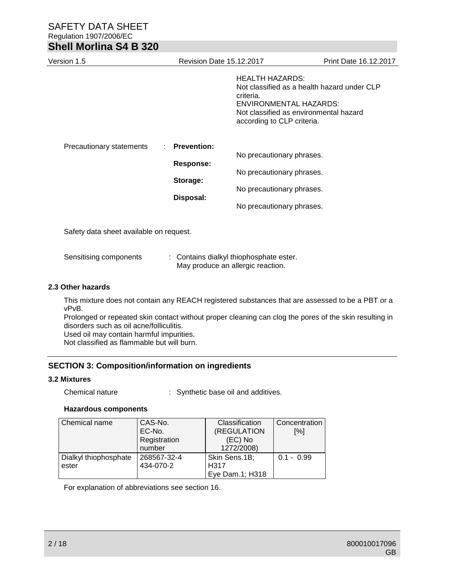| Version 1.5                             | <b>Revision Date 15.12.2017</b>                                       |                                                                                                                  | <b>Print Date 16.12.2017</b>                                                          |
|-----------------------------------------|-----------------------------------------------------------------------|------------------------------------------------------------------------------------------------------------------|---------------------------------------------------------------------------------------|
|                                         |                                                                       | <b>HEALTH HAZARDS:</b><br>criteria.<br><b>ENVIRONMENTAL HAZARDS:</b><br>according to CLP criteria.               | Not classified as a health hazard under CLP<br>Not classified as environmental hazard |
| Precautionary statements                | <b>Prevention:</b><br>÷.<br><b>Response:</b><br>Storage:<br>Disposal: | No precautionary phrases.<br>No precautionary phrases.<br>No precautionary phrases.<br>No precautionary phrases. |                                                                                       |
| Safety data sheet available on request. |                                                                       |                                                                                                                  |                                                                                       |
| Sensitising components                  |                                                                       | : Contains dialkyl thiophosphate ester.<br>May produce an allergic reaction.                                     |                                                                                       |

#### **2.3 Other hazards**

This mixture does not contain any REACH registered substances that are assessed to be a PBT or a vPvB.

Prolonged or repeated skin contact without proper cleaning can clog the pores of the skin resulting in disorders such as oil acne/folliculitis.

Used oil may contain harmful impurities.

Not classified as flammable but will burn.

### **SECTION 3: Composition/information on ingredients**

#### **3.2 Mixtures**

Chemical nature : Synthetic base oil and additives.

## **Hazardous components**

| Chemical name         | CAS-No.      | Classification   | Concentration |
|-----------------------|--------------|------------------|---------------|
|                       | EC-No.       | (REGULATION      | [%]           |
|                       | Registration | (EC) No          |               |
|                       | number       | 1272/2008)       |               |
| Dialkyl thiophosphate | 268567-32-4  | Skin Sens.1B;    | $0.1 - 0.99$  |
| ester                 | 434-070-2    | H <sub>317</sub> |               |
|                       |              | Eye Dam.1; H318  |               |

For explanation of abbreviations see section 16.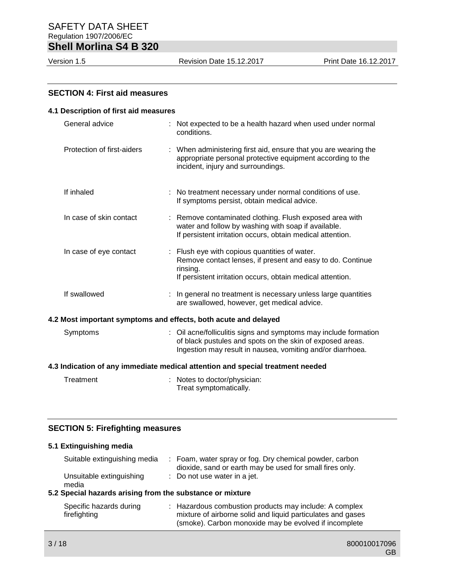## **SECTION 4: First aid measures**

| 4.1 Description of first aid measures                           |                                                                                |                                                                                                                                                                                           |  |  |
|-----------------------------------------------------------------|--------------------------------------------------------------------------------|-------------------------------------------------------------------------------------------------------------------------------------------------------------------------------------------|--|--|
| General advice                                                  |                                                                                | : Not expected to be a health hazard when used under normal<br>conditions.                                                                                                                |  |  |
| Protection of first-aiders                                      |                                                                                | : When administering first aid, ensure that you are wearing the<br>appropriate personal protective equipment according to the<br>incident, injury and surroundings.                       |  |  |
| If inhaled                                                      |                                                                                | : No treatment necessary under normal conditions of use.<br>If symptoms persist, obtain medical advice.                                                                                   |  |  |
| In case of skin contact                                         |                                                                                | : Remove contaminated clothing. Flush exposed area with<br>water and follow by washing with soap if available.<br>If persistent irritation occurs, obtain medical attention.              |  |  |
| In case of eye contact                                          |                                                                                | : Flush eye with copious quantities of water.<br>Remove contact lenses, if present and easy to do. Continue<br>rinsing.<br>If persistent irritation occurs, obtain medical attention.     |  |  |
| If swallowed                                                    |                                                                                | In general no treatment is necessary unless large quantities<br>are swallowed, however, get medical advice.                                                                               |  |  |
| 4.2 Most important symptoms and effects, both acute and delayed |                                                                                |                                                                                                                                                                                           |  |  |
| Symptoms                                                        |                                                                                | Oil acne/folliculitis signs and symptoms may include formation<br>of black pustules and spots on the skin of exposed areas.<br>Ingestion may result in nausea, vomiting and/or diarrhoea. |  |  |
|                                                                 | 4.3 Indication of any immediate medical attention and special treatment needed |                                                                                                                                                                                           |  |  |
| Treatment                                                       |                                                                                | Notes to doctor/physician:<br>Treat symptomatically.                                                                                                                                      |  |  |

#### **SECTION 5: Firefighting measures**

#### **5.1 Extinguishing media**

| Suitable extinguishing media                           | : Foam, water spray or fog. Dry chemical powder, carbon<br>dioxide, sand or earth may be used for small fires only. |
|--------------------------------------------------------|---------------------------------------------------------------------------------------------------------------------|
| Unsuitable extinguishing<br>media                      | : Do not use water in a jet.                                                                                        |
| Cnocial beserve existing from the oubetanes or mivings |                                                                                                                     |

#### **5.2 Special hazards arising from the substance or mixture**

| Specific hazards during | : Hazardous combustion products may include: A complex      |
|-------------------------|-------------------------------------------------------------|
| firefighting            | mixture of airborne solid and liquid particulates and gases |
|                         | (smoke). Carbon monoxide may be evolved if incomplete       |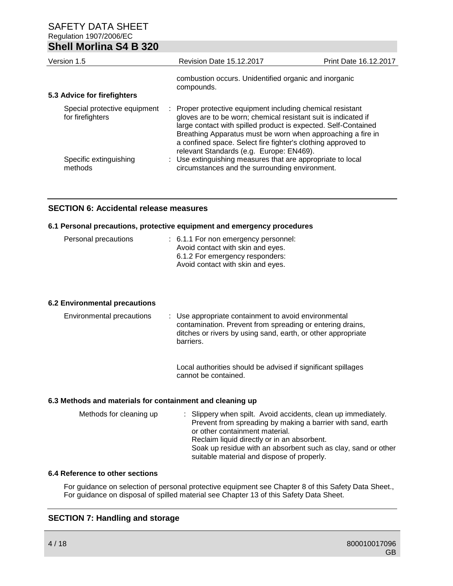| UIKII MUITING UT D JZU                           |                                                                                                                                                                                                                                                                                                                                                                           |                              |
|--------------------------------------------------|---------------------------------------------------------------------------------------------------------------------------------------------------------------------------------------------------------------------------------------------------------------------------------------------------------------------------------------------------------------------------|------------------------------|
| Version 1.5                                      | <b>Revision Date 15.12.2017</b>                                                                                                                                                                                                                                                                                                                                           | <b>Print Date 16.12.2017</b> |
| 5.3 Advice for firefighters                      | combustion occurs. Unidentified organic and inorganic<br>compounds.                                                                                                                                                                                                                                                                                                       |                              |
| Special protective equipment<br>for firefighters | : Proper protective equipment including chemical resistant<br>gloves are to be worn; chemical resistant suit is indicated if<br>large contact with spilled product is expected. Self-Contained<br>Breathing Apparatus must be worn when approaching a fire in<br>a confined space. Select fire fighter's clothing approved to<br>relevant Standards (e.g. Europe: EN469). |                              |
| Specific extinguishing<br>methods                | : Use extinguishing measures that are appropriate to local<br>circumstances and the surrounding environment.                                                                                                                                                                                                                                                              |                              |

## **SECTION 6: Accidental release measures**

#### **6.1 Personal precautions, protective equipment and emergency procedures**

| Personal precautions | : 6.1.1 For non emergency personnel:<br>Avoid contact with skin and eyes.<br>6.1.2 For emergency responders:<br>Avoid contact with skin and eyes. |
|----------------------|---------------------------------------------------------------------------------------------------------------------------------------------------|
|                      |                                                                                                                                                   |

## **6.2 Environmental precautions**

| Environmental precautions | : Use appropriate containment to avoid environmental<br>contamination. Prevent from spreading or entering drains,<br>ditches or rivers by using sand, earth, or other appropriate<br>barriers. |
|---------------------------|------------------------------------------------------------------------------------------------------------------------------------------------------------------------------------------------|
|                           |                                                                                                                                                                                                |

Local authorities should be advised if significant spillages cannot be contained.

#### **6.3 Methods and materials for containment and cleaning up**

| Methods for cleaning up | : Slippery when spilt. Avoid accidents, clean up immediately.<br>Prevent from spreading by making a barrier with sand, earth<br>or other containment material.<br>Reclaim liquid directly or in an absorbent.<br>Soak up residue with an absorbent such as clay, sand or other<br>suitable material and dispose of properly. |
|-------------------------|------------------------------------------------------------------------------------------------------------------------------------------------------------------------------------------------------------------------------------------------------------------------------------------------------------------------------|
|                         |                                                                                                                                                                                                                                                                                                                              |

### **6.4 Reference to other sections**

For guidance on selection of personal protective equipment see Chapter 8 of this Safety Data Sheet., For guidance on disposal of spilled material see Chapter 13 of this Safety Data Sheet.

## **SECTION 7: Handling and storage**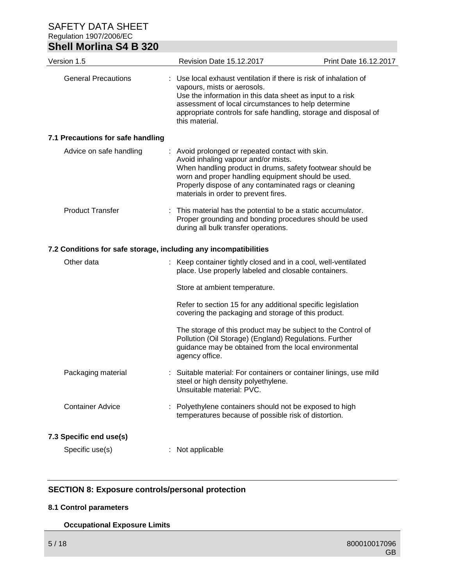| <b>Shell Morlina S4 B 320</b>                                    |                                                                                                                                                                                                                                                                                                             |                       |
|------------------------------------------------------------------|-------------------------------------------------------------------------------------------------------------------------------------------------------------------------------------------------------------------------------------------------------------------------------------------------------------|-----------------------|
| Version 1.5                                                      | Revision Date 15.12.2017                                                                                                                                                                                                                                                                                    | Print Date 16.12.2017 |
| <b>General Precautions</b>                                       | : Use local exhaust ventilation if there is risk of inhalation of<br>vapours, mists or aerosols.<br>Use the information in this data sheet as input to a risk<br>assessment of local circumstances to help determine<br>appropriate controls for safe handling, storage and disposal of<br>this material.   |                       |
| 7.1 Precautions for safe handling                                |                                                                                                                                                                                                                                                                                                             |                       |
| Advice on safe handling                                          | : Avoid prolonged or repeated contact with skin.<br>Avoid inhaling vapour and/or mists.<br>When handling product in drums, safety footwear should be<br>worn and proper handling equipment should be used.<br>Properly dispose of any contaminated rags or cleaning<br>materials in order to prevent fires. |                       |
| <b>Product Transfer</b>                                          | This material has the potential to be a static accumulator.<br>Proper grounding and bonding procedures should be used<br>during all bulk transfer operations.                                                                                                                                               |                       |
| 7.2 Conditions for safe storage, including any incompatibilities |                                                                                                                                                                                                                                                                                                             |                       |
| Other data                                                       | : Keep container tightly closed and in a cool, well-ventilated<br>place. Use properly labeled and closable containers.                                                                                                                                                                                      |                       |
|                                                                  | Store at ambient temperature.                                                                                                                                                                                                                                                                               |                       |
|                                                                  | Refer to section 15 for any additional specific legislation<br>covering the packaging and storage of this product.                                                                                                                                                                                          |                       |
|                                                                  | The storage of this product may be subject to the Control of<br>Pollution (Oil Storage) (England) Regulations. Further<br>guidance may be obtained from the local environmental<br>agency office.                                                                                                           |                       |
| Packaging material                                               | Suitable material: For containers or container linings, use mild<br>steel or high density polyethylene.<br>Unsuitable material: PVC.                                                                                                                                                                        |                       |
| <b>Container Advice</b>                                          | Polyethylene containers should not be exposed to high<br>temperatures because of possible risk of distortion.                                                                                                                                                                                               |                       |
| 7.3 Specific end use(s)                                          |                                                                                                                                                                                                                                                                                                             |                       |
| Specific use(s)                                                  | Not applicable                                                                                                                                                                                                                                                                                              |                       |

## **SECTION 8: Exposure controls/personal protection**

## **8.1 Control parameters**

## **Occupational Exposure Limits**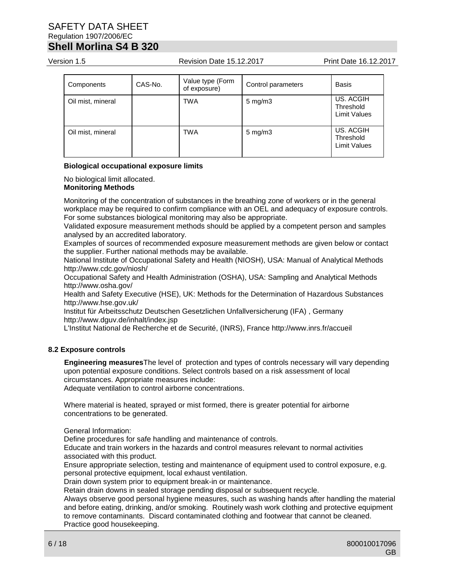Version 1.5 Revision Date 15.12.2017 Print Date 16.12.2017

| Components        | CAS-No. | Value type (Form<br>of exposure) | Control parameters | <b>Basis</b>                                  |
|-------------------|---------|----------------------------------|--------------------|-----------------------------------------------|
| Oil mist, mineral |         | <b>TWA</b>                       | $5 \text{ mg/m}$   | US. ACGIH<br>Threshold<br><b>Limit Values</b> |
| Oil mist, mineral |         | <b>TWA</b>                       | $5 \text{ mg/m}$   | US. ACGIH<br>Threshold<br><b>Limit Values</b> |

#### **Biological occupational exposure limits**

No biological limit allocated. **Monitoring Methods**

Monitoring of the concentration of substances in the breathing zone of workers or in the general workplace may be required to confirm compliance with an OEL and adequacy of exposure controls. For some substances biological monitoring may also be appropriate.

Validated exposure measurement methods should be applied by a competent person and samples analysed by an accredited laboratory.

Examples of sources of recommended exposure measurement methods are given below or contact the supplier. Further national methods may be available.

National Institute of Occupational Safety and Health (NIOSH), USA: Manual of Analytical Methods http://www.cdc.gov/niosh/

Occupational Safety and Health Administration (OSHA), USA: Sampling and Analytical Methods http://www.osha.gov/

Health and Safety Executive (HSE), UK: Methods for the Determination of Hazardous Substances http://www.hse.gov.uk/

Institut für Arbeitsschutz Deutschen Gesetzlichen Unfallversicherung (IFA) , Germany http://www.dguv.de/inhalt/index.jsp

L'Institut National de Recherche et de Securité, (INRS), France http://www.inrs.fr/accueil

#### **8.2 Exposure controls**

**Engineering measures**The level of protection and types of controls necessary will vary depending upon potential exposure conditions. Select controls based on a risk assessment of local circumstances. Appropriate measures include:

Adequate ventilation to control airborne concentrations.

Where material is heated, sprayed or mist formed, there is greater potential for airborne concentrations to be generated.

General Information:

Define procedures for safe handling and maintenance of controls.

Educate and train workers in the hazards and control measures relevant to normal activities associated with this product.

Ensure appropriate selection, testing and maintenance of equipment used to control exposure, e.g. personal protective equipment, local exhaust ventilation.

Drain down system prior to equipment break-in or maintenance.

Retain drain downs in sealed storage pending disposal or subsequent recycle.

Always observe good personal hygiene measures, such as washing hands after handling the material and before eating, drinking, and/or smoking. Routinely wash work clothing and protective equipment to remove contaminants. Discard contaminated clothing and footwear that cannot be cleaned. Practice good housekeeping.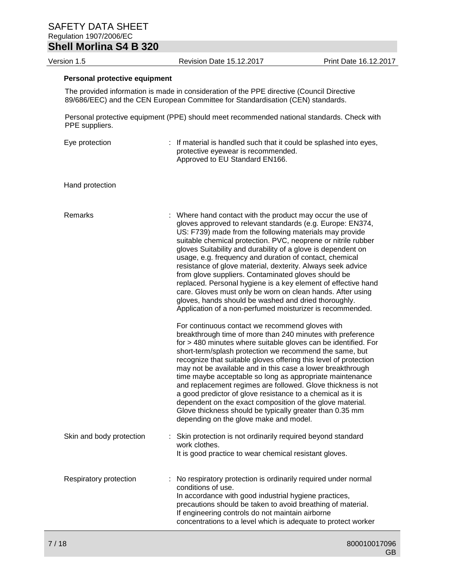Version 1.5 Revision Date 15.12.2017 Print Date 16.12.2017

#### **Personal protective equipment**

The provided information is made in consideration of the PPE directive (Council Directive 89/686/EEC) and the CEN European Committee for Standardisation (CEN) standards.

Personal protective equipment (PPE) should meet recommended national standards. Check with PPE suppliers.

| Eye protection           | : If material is handled such that it could be splashed into eyes,<br>protective eyewear is recommended.<br>Approved to EU Standard EN166.                                                                                                                                                                                                                                                                                                                                                                                                                                                                                                                                                                                                                |
|--------------------------|-----------------------------------------------------------------------------------------------------------------------------------------------------------------------------------------------------------------------------------------------------------------------------------------------------------------------------------------------------------------------------------------------------------------------------------------------------------------------------------------------------------------------------------------------------------------------------------------------------------------------------------------------------------------------------------------------------------------------------------------------------------|
| Hand protection          |                                                                                                                                                                                                                                                                                                                                                                                                                                                                                                                                                                                                                                                                                                                                                           |
| Remarks                  | : Where hand contact with the product may occur the use of<br>gloves approved to relevant standards (e.g. Europe: EN374,<br>US: F739) made from the following materials may provide<br>suitable chemical protection. PVC, neoprene or nitrile rubber<br>gloves Suitability and durability of a glove is dependent on<br>usage, e.g. frequency and duration of contact, chemical<br>resistance of glove material, dexterity. Always seek advice<br>from glove suppliers. Contaminated gloves should be<br>replaced. Personal hygiene is a key element of effective hand<br>care. Gloves must only be worn on clean hands. After using<br>gloves, hands should be washed and dried thoroughly.<br>Application of a non-perfumed moisturizer is recommended. |
|                          | For continuous contact we recommend gloves with<br>breakthrough time of more than 240 minutes with preference<br>for > 480 minutes where suitable gloves can be identified. For<br>short-term/splash protection we recommend the same, but<br>recognize that suitable gloves offering this level of protection<br>may not be available and in this case a lower breakthrough<br>time maybe acceptable so long as appropriate maintenance<br>and replacement regimes are followed. Glove thickness is not<br>a good predictor of glove resistance to a chemical as it is<br>dependent on the exact composition of the glove material.<br>Glove thickness should be typically greater than 0.35 mm<br>depending on the glove make and model.                |
| Skin and body protection | : Skin protection is not ordinarily required beyond standard<br>work clothes.<br>It is good practice to wear chemical resistant gloves.                                                                                                                                                                                                                                                                                                                                                                                                                                                                                                                                                                                                                   |
| Respiratory protection   | No respiratory protection is ordinarily required under normal<br>conditions of use.<br>In accordance with good industrial hygiene practices,<br>precautions should be taken to avoid breathing of material.<br>If engineering controls do not maintain airborne<br>concentrations to a level which is adequate to protect worker                                                                                                                                                                                                                                                                                                                                                                                                                          |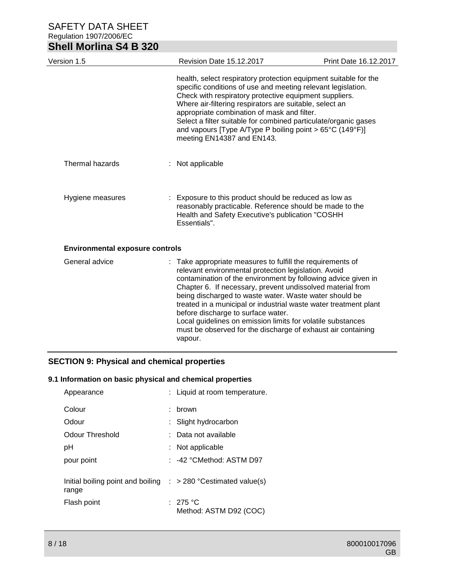| <b>Shell Morlina S4 B 320</b>          |                                                                                                                                                                                                                                                                                                                                                                                                                                                                                                                                                               |                       |
|----------------------------------------|---------------------------------------------------------------------------------------------------------------------------------------------------------------------------------------------------------------------------------------------------------------------------------------------------------------------------------------------------------------------------------------------------------------------------------------------------------------------------------------------------------------------------------------------------------------|-----------------------|
| Version 1.5                            | <b>Revision Date 15.12.2017</b>                                                                                                                                                                                                                                                                                                                                                                                                                                                                                                                               | Print Date 16.12.2017 |
|                                        | health, select respiratory protection equipment suitable for the<br>specific conditions of use and meeting relevant legislation.<br>Check with respiratory protective equipment suppliers.<br>Where air-filtering respirators are suitable, select an<br>appropriate combination of mask and filter.<br>Select a filter suitable for combined particulate/organic gases<br>and vapours [Type A/Type P boiling point > $65^{\circ}$ C (149 $^{\circ}$ F)]<br>meeting EN14387 and EN143.                                                                        |                       |
| Thermal hazards                        | Not applicable                                                                                                                                                                                                                                                                                                                                                                                                                                                                                                                                                |                       |
| Hygiene measures                       | Exposure to this product should be reduced as low as<br>reasonably practicable. Reference should be made to the<br>Health and Safety Executive's publication "COSHH<br>Essentials".                                                                                                                                                                                                                                                                                                                                                                           |                       |
| <b>Environmental exposure controls</b> |                                                                                                                                                                                                                                                                                                                                                                                                                                                                                                                                                               |                       |
| General advice                         | Take appropriate measures to fulfill the requirements of<br>relevant environmental protection legislation. Avoid<br>contamination of the environment by following advice given in<br>Chapter 6. If necessary, prevent undissolved material from<br>being discharged to waste water. Waste water should be<br>treated in a municipal or industrial waste water treatment plant<br>before discharge to surface water.<br>Local guidelines on emission limits for volatile substances<br>must be observed for the discharge of exhaust air containing<br>vapour. |                       |

## **SECTION 9: Physical and chemical properties**

## **9.1 Information on basic physical and chemical properties**

| Appearance                                                                          | : Liquid at room temperature.         |
|-------------------------------------------------------------------------------------|---------------------------------------|
| Colour                                                                              | brown                                 |
| Odour                                                                               | Slight hydrocarbon                    |
| Odour Threshold                                                                     | Data not available                    |
| рH                                                                                  | Not applicable                        |
| pour point                                                                          | : -42 °CMethod: ASTM D97              |
| Initial boiling point and boiling $\therefore$ > 280 °C estimated value(s)<br>range |                                       |
| Flash point                                                                         | $:~$ 275 °C<br>Method: ASTM D92 (COC) |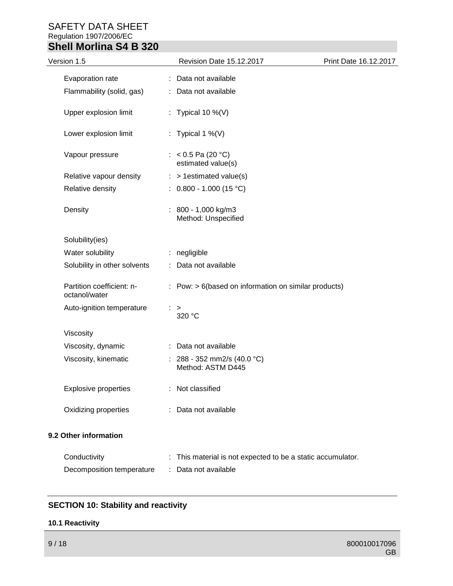| Version 1.5                                | Revision Date 15.12.2017                                  | Print Date 16.12.2017 |
|--------------------------------------------|-----------------------------------------------------------|-----------------------|
| Evaporation rate                           | Data not available                                        |                       |
| Flammability (solid, gas)                  | : Data not available                                      |                       |
| Upper explosion limit                      | : Typical 10 %(V)                                         |                       |
| Lower explosion limit                      | : Typical 1 %(V)                                          |                       |
| Vapour pressure                            | : < $0.5$ Pa (20 °C)<br>estimated value(s)                |                       |
| Relative vapour density                    | $:$ > 1 estimated value(s)                                |                       |
| Relative density                           | $: 0.800 - 1.000 (15 °C)$                                 |                       |
| Density                                    | $: 800 - 1,000$ kg/m3<br>Method: Unspecified              |                       |
| Solubility(ies)                            |                                                           |                       |
| Water solubility                           | : negligible                                              |                       |
| Solubility in other solvents               | Data not available                                        |                       |
| Partition coefficient: n-<br>octanol/water | $:$ Pow: $> 6$ (based on information on similar products) |                       |
| Auto-ignition temperature                  | ><br>320 °C                                               |                       |
| Viscosity                                  |                                                           |                       |
| Viscosity, dynamic                         | : Data not available                                      |                       |
| Viscosity, kinematic                       | : 288 - 352 mm2/s (40.0 °C)<br>Method: ASTM D445          |                       |
| <b>Explosive properties</b>                | Not classified                                            |                       |
| Oxidizing properties                       | Data not available                                        |                       |
| 9.2 Other information                      |                                                           |                       |
| Conductivity                               | This material is not expected to be a static accumulator. |                       |
| Decomposition temperature                  | Data not available                                        |                       |

## **SECTION 10: Stability and reactivity**

#### **10.1 Reactivity**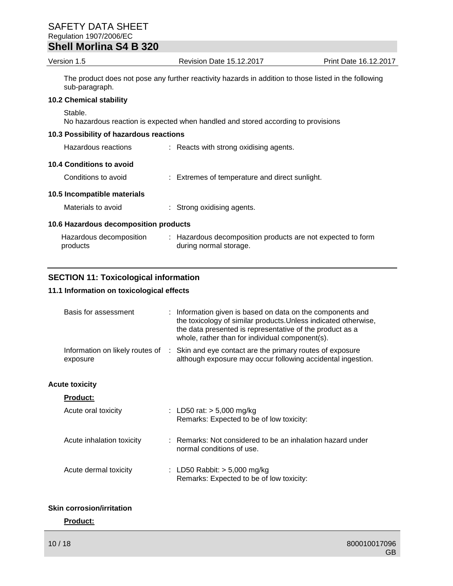| Version 1.5                             | <b>Revision Date 15.12.2017</b>                                                                       | Print Date 16.12.2017 |
|-----------------------------------------|-------------------------------------------------------------------------------------------------------|-----------------------|
| sub-paragraph.                          | The product does not pose any further reactivity hazards in addition to those listed in the following |                       |
| <b>10.2 Chemical stability</b>          |                                                                                                       |                       |
| Stable.                                 | No hazardous reaction is expected when handled and stored according to provisions                     |                       |
| 10.3 Possibility of hazardous reactions |                                                                                                       |                       |
| Hazardous reactions                     | : Reacts with strong oxidising agents.                                                                |                       |
| 10.4 Conditions to avoid                |                                                                                                       |                       |
| Conditions to avoid                     | : Extremes of temperature and direct sunlight.                                                        |                       |

**10.5 Incompatible materials**

Materials to avoid : Strong oxidising agents.

## **10.6 Hazardous decomposition products**

| Hazardous decomposition | : Hazardous decomposition products are not expected to form |
|-------------------------|-------------------------------------------------------------|
| products                | during normal storage.                                      |

## **SECTION 11: Toxicological information**

## **11.1 Information on toxicological effects**

| Basis for assessment      | : Information given is based on data on the components and<br>the toxicology of similar products. Unless indicated otherwise,<br>the data presented is representative of the product as a<br>whole, rather than for individual component(s). |
|---------------------------|----------------------------------------------------------------------------------------------------------------------------------------------------------------------------------------------------------------------------------------------|
| exposure                  | Information on likely routes of : Skin and eye contact are the primary routes of exposure<br>although exposure may occur following accidental ingestion.                                                                                     |
| <b>Acute toxicity</b>     |                                                                                                                                                                                                                                              |
| <b>Product:</b>           |                                                                                                                                                                                                                                              |
| Acute oral toxicity       | : LD50 rat: $> 5,000$ mg/kg<br>Remarks: Expected to be of low toxicity:                                                                                                                                                                      |
| Acute inhalation toxicity | : Remarks: Not considered to be an inhalation hazard under<br>normal conditions of use.                                                                                                                                                      |
| Acute dermal toxicity     | : LD50 Rabbit: $>$ 5,000 mg/kg<br>Remarks: Expected to be of low toxicity:                                                                                                                                                                   |

## **Skin corrosion/irritation**

## **Product:**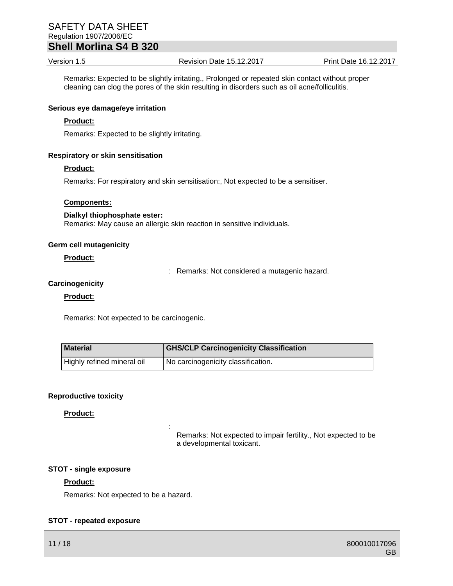Version 1.5 Revision Date 15.12.2017 Print Date 16.12.2017

Remarks: Expected to be slightly irritating., Prolonged or repeated skin contact without proper cleaning can clog the pores of the skin resulting in disorders such as oil acne/folliculitis.

#### **Serious eye damage/eye irritation**

#### **Product:**

Remarks: Expected to be slightly irritating.

#### **Respiratory or skin sensitisation**

#### **Product:**

Remarks: For respiratory and skin sensitisation:, Not expected to be a sensitiser.

#### **Components:**

#### **Dialkyl thiophosphate ester:** Remarks: May cause an allergic skin reaction in sensitive individuals.

:

#### **Germ cell mutagenicity**

#### **Product:**

: Remarks: Not considered a mutagenic hazard.

#### **Carcinogenicity**

#### **Product:**

Remarks: Not expected to be carcinogenic.

| Material                   | <b>GHS/CLP Carcinogenicity Classification</b> |
|----------------------------|-----------------------------------------------|
| Highly refined mineral oil | I No carcinogenicity classification.          |

#### **Reproductive toxicity**

#### **Product:**

Remarks: Not expected to impair fertility., Not expected to be a developmental toxicant.

#### **STOT - single exposure**

#### **Product:**

Remarks: Not expected to be a hazard.

#### **STOT - repeated exposure**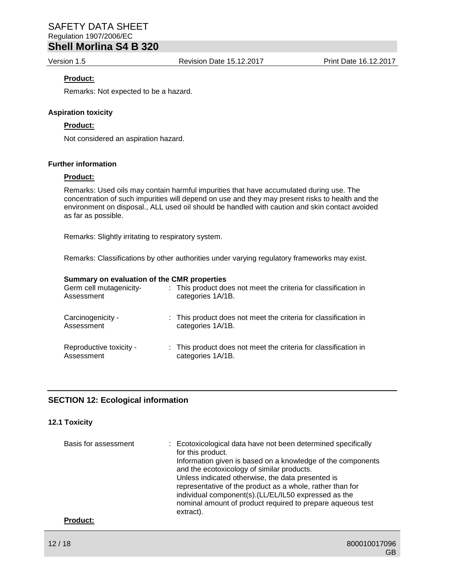Version 1.5 Revision Date 15.12.2017 Print Date 16.12.2017

#### **Product:**

Remarks: Not expected to be a hazard.

#### **Aspiration toxicity**

#### **Product:**

Not considered an aspiration hazard.

### **Further information**

#### **Product:**

Remarks: Used oils may contain harmful impurities that have accumulated during use. The concentration of such impurities will depend on use and they may present risks to health and the environment on disposal., ALL used oil should be handled with caution and skin contact avoided as far as possible.

Remarks: Slightly irritating to respiratory system.

Remarks: Classifications by other authorities under varying regulatory frameworks may exist.

#### **Summary on evaluation of the CMR properties**

| Germ cell mutagenicity-<br>Assessment | : This product does not meet the criteria for classification in<br>categories 1A/1B. |
|---------------------------------------|--------------------------------------------------------------------------------------|
| Carcinogenicity -<br>Assessment       | : This product does not meet the criteria for classification in<br>categories 1A/1B. |
| Reproductive toxicity -<br>Assessment | : This product does not meet the criteria for classification in<br>categories 1A/1B. |

#### **SECTION 12: Ecological information**

#### **12.1 Toxicity**

| Basis for assessment | : Ecotoxicological data have not been determined specifically<br>for this product.<br>Information given is based on a knowledge of the components<br>and the ecotoxicology of similar products.<br>Unless indicated otherwise, the data presented is<br>representative of the product as a whole, rather than for<br>individual component(s).(LL/EL/IL50 expressed as the<br>nominal amount of product required to prepare aqueous test |
|----------------------|-----------------------------------------------------------------------------------------------------------------------------------------------------------------------------------------------------------------------------------------------------------------------------------------------------------------------------------------------------------------------------------------------------------------------------------------|
| <b>Product:</b>      | extract).                                                                                                                                                                                                                                                                                                                                                                                                                               |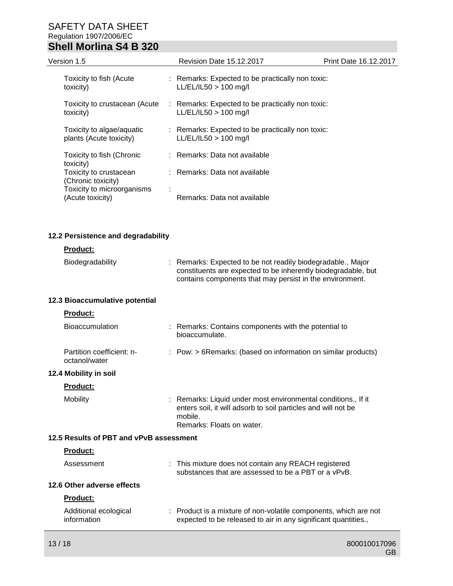| Version 1.5                                          | Revision Date 15.12.2017                                                    | <b>Print Date 16.12.2017</b> |
|------------------------------------------------------|-----------------------------------------------------------------------------|------------------------------|
| Toxicity to fish (Acute<br>toxicity)                 | : Remarks: Expected to be practically non toxic:<br>$LL/EL/IL50 > 100$ mg/l |                              |
| Toxicity to crustacean (Acute<br>toxicity)           | : Remarks: Expected to be practically non toxic:<br>$LL/EL/IL50 > 100$ mg/l |                              |
| Toxicity to algae/aquatic<br>plants (Acute toxicity) | : Remarks: Expected to be practically non toxic:<br>$LL/EL/IL50 > 100$ mg/l |                              |
| Toxicity to fish (Chronic<br>toxicity)               | : Remarks: Data not available                                               |                              |
| Toxicity to crustacean<br>(Chronic toxicity)         | : Remarks: Data not available                                               |                              |
| Toxicity to microorganisms<br>(Acute toxicity)       | $\mathbf{r}$<br>Remarks: Data not available                                 |                              |

## **12.2 Persistence and degradability**

#### **Product:**

| Biodegradability | : Remarks: Expected to be not readily biodegradable., Major   |
|------------------|---------------------------------------------------------------|
|                  | constituents are expected to be inherently biodegradable, but |
|                  | contains components that may persist in the environment.      |

## **12.3 Bioaccumulative potential**

| <b>Product:</b>                            |                                                                                                                                                                        |
|--------------------------------------------|------------------------------------------------------------------------------------------------------------------------------------------------------------------------|
| <b>Bioaccumulation</b>                     | : Remarks: Contains components with the potential to<br>bioaccumulate.                                                                                                 |
| Partition coefficient: n-<br>octanol/water | : Pow: > 6Remarks: (based on information on similar products)                                                                                                          |
| 12.4 Mobility in soil                      |                                                                                                                                                                        |
| <b>Product:</b>                            |                                                                                                                                                                        |
| Mobility                                   | : Remarks: Liquid under most environmental conditions., If it<br>enters soil, it will adsorb to soil particles and will not be<br>mobile.<br>Remarks: Floats on water. |
|                                            |                                                                                                                                                                        |

### **12.5 Results of PBT and vPvB assessment**

## **Product:**

| Assessment                           | : This mixture does not contain any REACH registered<br>substances that are assessed to be a PBT or a vPvB.                        |
|--------------------------------------|------------------------------------------------------------------------------------------------------------------------------------|
| 12.6 Other adverse effects           |                                                                                                                                    |
| <b>Product:</b>                      |                                                                                                                                    |
| Additional ecological<br>information | : Product is a mixture of non-volatile components, which are not<br>expected to be released to air in any significant quantities., |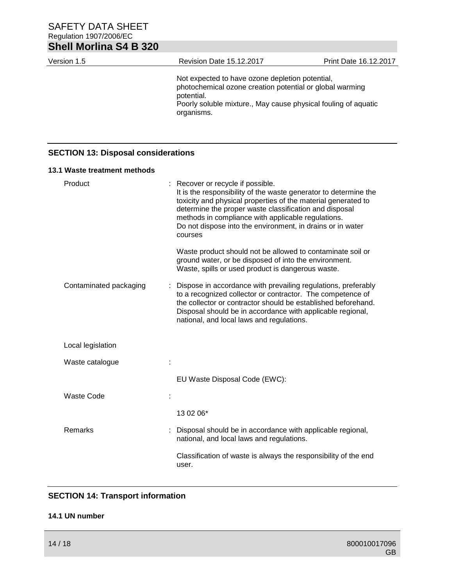| <b>Shell Morlina S4 B 320</b>              |                                                                                                                                                                                                                                                                                                                                                                 |                       |
|--------------------------------------------|-----------------------------------------------------------------------------------------------------------------------------------------------------------------------------------------------------------------------------------------------------------------------------------------------------------------------------------------------------------------|-----------------------|
| Version 1.5                                | <b>Revision Date 15.12.2017</b>                                                                                                                                                                                                                                                                                                                                 | Print Date 16.12.2017 |
|                                            | Not expected to have ozone depletion potential,<br>photochemical ozone creation potential or global warming<br>potential.<br>Poorly soluble mixture., May cause physical fouling of aquatic<br>organisms.                                                                                                                                                       |                       |
| <b>SECTION 13: Disposal considerations</b> |                                                                                                                                                                                                                                                                                                                                                                 |                       |
| 13.1 Waste treatment methods               |                                                                                                                                                                                                                                                                                                                                                                 |                       |
| Product                                    | : Recover or recycle if possible.<br>It is the responsibility of the waste generator to determine the<br>toxicity and physical properties of the material generated to<br>determine the proper waste classification and disposal<br>methods in compliance with applicable regulations.<br>Do not dispose into the environment, in drains or in water<br>courses |                       |
|                                            | Waste product should not be allowed to contaminate soil or<br>ground water, or be disposed of into the environment.<br>Waste, spills or used product is dangerous waste.                                                                                                                                                                                        |                       |
| Contaminated packaging                     | Dispose in accordance with prevailing regulations, preferably<br>to a recognized collector or contractor. The competence of<br>the collector or contractor should be established beforehand.<br>Disposal should be in accordance with applicable regional,<br>national, and local laws and regulations.                                                         |                       |
| Local legislation                          |                                                                                                                                                                                                                                                                                                                                                                 |                       |
| Waste catalogue                            |                                                                                                                                                                                                                                                                                                                                                                 |                       |
|                                            | EU Waste Disposal Code (EWC):                                                                                                                                                                                                                                                                                                                                   |                       |
| <b>Waste Code</b>                          |                                                                                                                                                                                                                                                                                                                                                                 |                       |
|                                            | 13 02 06*                                                                                                                                                                                                                                                                                                                                                       |                       |
| Remarks                                    | Disposal should be in accordance with applicable regional,<br>national, and local laws and regulations.                                                                                                                                                                                                                                                         |                       |
|                                            | Classification of waste is always the responsibility of the end<br>user.                                                                                                                                                                                                                                                                                        |                       |

## **SECTION 14: Transport information**

## **14.1 UN number**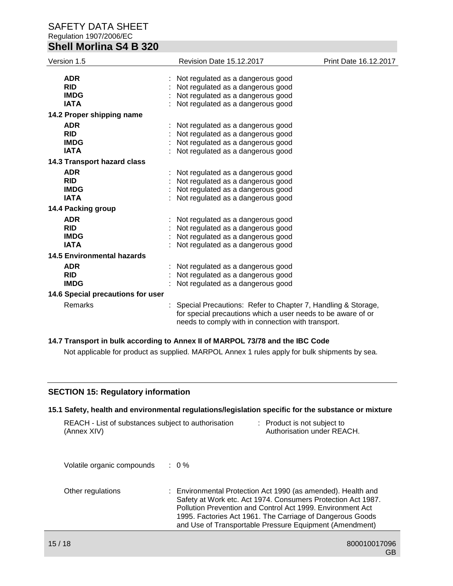| Version 1.5                                            | <b>Revision Date 15.12.2017</b>                                                                                                                                                    | Print Date 16.12.2017 |
|--------------------------------------------------------|------------------------------------------------------------------------------------------------------------------------------------------------------------------------------------|-----------------------|
| <b>ADR</b><br><b>RID</b><br><b>IMDG</b><br><b>IATA</b> | Not regulated as a dangerous good<br>Not regulated as a dangerous good<br>Not regulated as a dangerous good<br>Not regulated as a dangerous good                                   |                       |
| 14.2 Proper shipping name                              |                                                                                                                                                                                    |                       |
| <b>ADR</b><br><b>RID</b><br><b>IMDG</b><br><b>IATA</b> | Not regulated as a dangerous good<br>Not regulated as a dangerous good<br>Not regulated as a dangerous good<br>Not regulated as a dangerous good                                   |                       |
| 14.3 Transport hazard class                            |                                                                                                                                                                                    |                       |
| <b>ADR</b><br><b>RID</b><br><b>IMDG</b><br><b>IATA</b> | Not regulated as a dangerous good<br>Not regulated as a dangerous good<br>Not regulated as a dangerous good<br>Not regulated as a dangerous good                                   |                       |
| 14.4 Packing group                                     |                                                                                                                                                                                    |                       |
| <b>ADR</b><br><b>RID</b><br><b>IMDG</b><br><b>IATA</b> | Not regulated as a dangerous good<br>Not regulated as a dangerous good<br>Not regulated as a dangerous good<br>Not regulated as a dangerous good                                   |                       |
| <b>14.5 Environmental hazards</b>                      |                                                                                                                                                                                    |                       |
| <b>ADR</b><br><b>RID</b><br><b>IMDG</b>                | Not regulated as a dangerous good<br>Not regulated as a dangerous good<br>Not regulated as a dangerous good                                                                        |                       |
| 14.6 Special precautions for user                      |                                                                                                                                                                                    |                       |
| Remarks                                                | Special Precautions: Refer to Chapter 7, Handling & Storage,<br>for special precautions which a user needs to be aware of or<br>needs to comply with in connection with transport. |                       |

## **14.7 Transport in bulk according to Annex II of MARPOL 73/78 and the IBC Code**

Not applicable for product as supplied. MARPOL Annex 1 rules apply for bulk shipments by sea.

### **SECTION 15: Regulatory information**

## **15.1 Safety, health and environmental regulations/legislation specific for the substance or mixture**

| REACH - List of substances subject to authorisation<br>(Annex XIV) |                  | : Product is not subject to<br>Authorisation under REACH.                                                                                                                                                                                                                                                          |
|--------------------------------------------------------------------|------------------|--------------------------------------------------------------------------------------------------------------------------------------------------------------------------------------------------------------------------------------------------------------------------------------------------------------------|
| Volatile organic compounds                                         | $\therefore$ 0 % |                                                                                                                                                                                                                                                                                                                    |
| Other regulations                                                  |                  | : Environmental Protection Act 1990 (as amended). Health and<br>Safety at Work etc. Act 1974. Consumers Protection Act 1987.<br>Pollution Prevention and Control Act 1999. Environment Act<br>1995. Factories Act 1961. The Carriage of Dangerous Goods<br>and Use of Transportable Pressure Equipment (Amendment) |
|                                                                    |                  |                                                                                                                                                                                                                                                                                                                    |

GB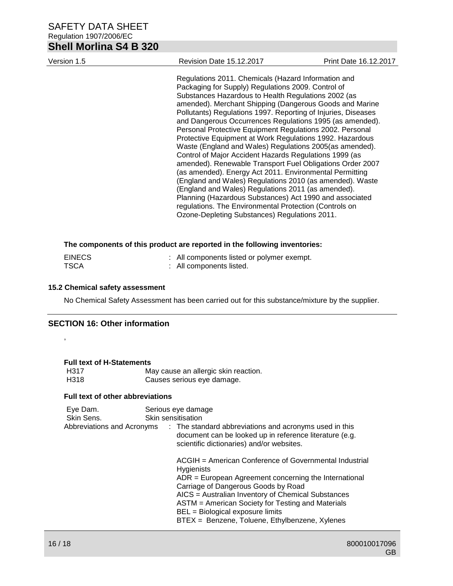| Version 1.5 | <b>Revision Date 15.12.2017</b>                                                                                                                                                                                                                                                                                                                                                                                                                                                                                                                                                                                                                                                                                                                                                                                                                                                                                                                                                                                       | <b>Print Date 16.12.2017</b> |
|-------------|-----------------------------------------------------------------------------------------------------------------------------------------------------------------------------------------------------------------------------------------------------------------------------------------------------------------------------------------------------------------------------------------------------------------------------------------------------------------------------------------------------------------------------------------------------------------------------------------------------------------------------------------------------------------------------------------------------------------------------------------------------------------------------------------------------------------------------------------------------------------------------------------------------------------------------------------------------------------------------------------------------------------------|------------------------------|
|             | Regulations 2011. Chemicals (Hazard Information and<br>Packaging for Supply) Regulations 2009. Control of<br>Substances Hazardous to Health Regulations 2002 (as<br>amended). Merchant Shipping (Dangerous Goods and Marine<br>Pollutants) Regulations 1997. Reporting of Injuries, Diseases<br>and Dangerous Occurrences Regulations 1995 (as amended).<br>Personal Protective Equipment Regulations 2002. Personal<br>Protective Equipment at Work Regulations 1992. Hazardous<br>Waste (England and Wales) Regulations 2005(as amended).<br>Control of Major Accident Hazards Regulations 1999 (as<br>amended). Renewable Transport Fuel Obligations Order 2007<br>(as amended). Energy Act 2011. Environmental Permitting<br>(England and Wales) Regulations 2010 (as amended). Waste<br>(England and Wales) Regulations 2011 (as amended).<br>Planning (Hazardous Substances) Act 1990 and associated<br>regulations. The Environmental Protection (Controls on<br>Ozone-Depleting Substances) Regulations 2011. |                              |

#### **The components of this product are reported in the following inventories:**

| <b>EINECS</b> | : All components listed or polymer exempt. |
|---------------|--------------------------------------------|
| <b>TSCA</b>   | : All components listed.                   |

## **15.2 Chemical safety assessment**

No Chemical Safety Assessment has been carried out for this substance/mixture by the supplier.

## **SECTION 16: Other information**

,

**Full text of H-Statements**

| H <sub>3</sub> 17 | May cause an allergic skin reaction. |
|-------------------|--------------------------------------|
| H318              | Causes serious eye damage.           |

#### **Full text of other abbreviations**

| Eye Dam.<br>Skin Sens.     | Serious eye damage<br>Skin sensitisation                                                                                                                                                                                                                                                                                                                                       |  |
|----------------------------|--------------------------------------------------------------------------------------------------------------------------------------------------------------------------------------------------------------------------------------------------------------------------------------------------------------------------------------------------------------------------------|--|
| Abbreviations and Acronyms | : The standard abbreviations and acronyms used in this<br>document can be looked up in reference literature (e.g.<br>scientific dictionaries) and/or websites.                                                                                                                                                                                                                 |  |
|                            | ACGIH = American Conference of Governmental Industrial<br><b>Hygienists</b><br>$ADR = European Agreement concerning the International$<br>Carriage of Dangerous Goods by Road<br>AICS = Australian Inventory of Chemical Substances<br>ASTM = American Society for Testing and Materials<br>BEL = Biological exposure limits<br>BTEX = Benzene, Toluene, Ethylbenzene, Xylenes |  |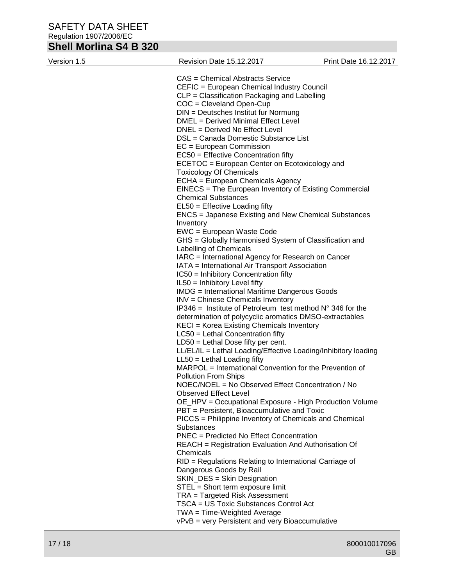# **Shell Morlina S4 B 320**

| Version 1.5 | Revision Date 15.12.2017                                                          | Print Date 16.12.2017 |
|-------------|-----------------------------------------------------------------------------------|-----------------------|
|             | <b>CAS</b> = Chemical Abstracts Service                                           |                       |
|             | CEFIC = European Chemical Industry Council                                        |                       |
|             | CLP = Classification Packaging and Labelling                                      |                       |
|             | $COC = C$ leveland Open-Cup                                                       |                       |
|             | $DIN = Deutsches Institut fur Normung$                                            |                       |
|             | DMEL = Derived Minimal Effect Level                                               |                       |
|             | DNEL = Derived No Effect Level                                                    |                       |
|             | DSL = Canada Domestic Substance List                                              |                       |
|             | $EC = European Commission$                                                        |                       |
|             | $EC50 =$ Effective Concentration fifty                                            |                       |
|             | ECETOC = European Center on Ecotoxicology and                                     |                       |
|             | <b>Toxicology Of Chemicals</b>                                                    |                       |
|             | ECHA = European Chemicals Agency                                                  |                       |
|             | EINECS = The European Inventory of Existing Commercial                            |                       |
|             | <b>Chemical Substances</b>                                                        |                       |
|             | $EL50 = E$ ffective Loading fifty                                                 |                       |
|             | ENCS = Japanese Existing and New Chemical Substances                              |                       |
|             | Inventory                                                                         |                       |
|             | EWC = European Waste Code                                                         |                       |
|             | GHS = Globally Harmonised System of Classification and                            |                       |
|             | Labelling of Chemicals                                                            |                       |
|             | IARC = International Agency for Research on Cancer                                |                       |
|             | IATA = International Air Transport Association                                    |                       |
|             | IC50 = Inhibitory Concentration fifty                                             |                       |
|             | IL50 = Inhibitory Level fifty                                                     |                       |
|             | <b>IMDG</b> = International Maritime Dangerous Goods                              |                       |
|             | INV = Chinese Chemicals Inventory                                                 |                       |
|             | $IP346$ = Institute of Petroleum test method $N^{\circ}$ 346 for the              |                       |
|             | determination of polycyclic aromatics DMSO-extractables                           |                       |
|             | KECI = Korea Existing Chemicals Inventory                                         |                       |
|             | $LC50$ = Lethal Concentration fifty                                               |                       |
|             | $LD50 = Lethal Does fifty per cent.$                                              |                       |
|             | LL/EL/IL = Lethal Loading/Effective Loading/Inhibitory loading                    |                       |
|             | $LL50 = Lethal$ Loading fifty                                                     |                       |
|             | MARPOL = International Convention for the Prevention of                           |                       |
|             | <b>Pollution From Ships</b>                                                       |                       |
|             | NOEC/NOEL = No Observed Effect Concentration / No<br><b>Observed Effect Level</b> |                       |
|             | OE_HPV = Occupational Exposure - High Production Volume                           |                       |
|             | PBT = Persistent, Bioaccumulative and Toxic                                       |                       |
|             | PICCS = Philippine Inventory of Chemicals and Chemical                            |                       |
|             | Substances                                                                        |                       |
|             | PNEC = Predicted No Effect Concentration                                          |                       |
|             | <b>REACH</b> = Registration Evaluation And Authorisation Of                       |                       |
|             | Chemicals                                                                         |                       |
|             | RID = Regulations Relating to International Carriage of                           |                       |
|             | Dangerous Goods by Rail                                                           |                       |
|             | SKIN_DES = Skin Designation                                                       |                       |
|             | STEL = Short term exposure limit                                                  |                       |
|             | TRA = Targeted Risk Assessment                                                    |                       |
|             | TSCA = US Toxic Substances Control Act                                            |                       |
|             | TWA = Time-Weighted Average                                                       |                       |
|             | vPvB = very Persistent and very Bioaccumulative                                   |                       |